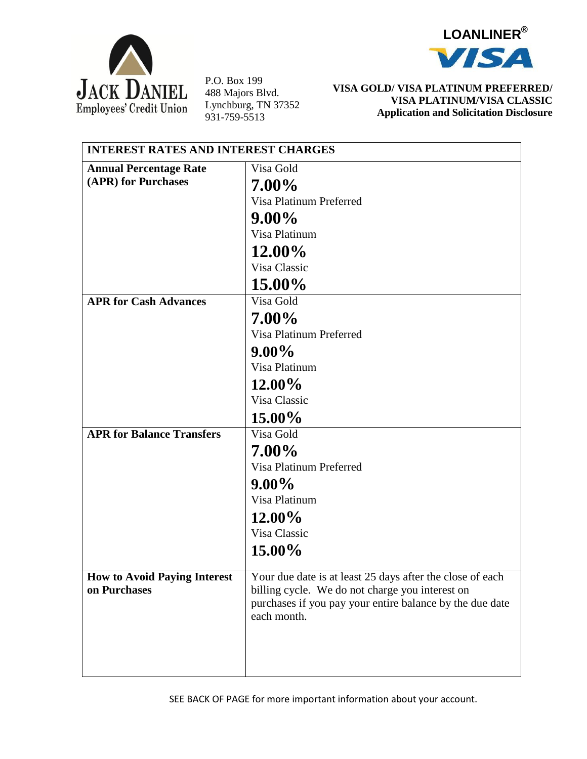



P.O. Box 199 488 Majors Blvd. Lynchburg, TN 37352 931-759-5513

## **VISA GOLD/ VISA PLATINUM PREFERRED/ VISA PLATINUM/VISA CLASSIC Application and Solicitation Disclosure**

| <b>INTEREST RATES AND INTEREST CHARGES</b> |                                                           |  |
|--------------------------------------------|-----------------------------------------------------------|--|
| <b>Annual Percentage Rate</b>              | Visa Gold                                                 |  |
| (APR) for Purchases                        | 7.00%                                                     |  |
|                                            | Visa Platinum Preferred                                   |  |
|                                            | $9.00\%$                                                  |  |
|                                            | Visa Platinum                                             |  |
|                                            | 12.00%                                                    |  |
|                                            | Visa Classic                                              |  |
|                                            | 15.00%                                                    |  |
| <b>APR for Cash Advances</b>               | Visa Gold                                                 |  |
|                                            | 7.00%                                                     |  |
|                                            | Visa Platinum Preferred                                   |  |
|                                            | $9.00\%$                                                  |  |
|                                            | Visa Platinum                                             |  |
|                                            | $12.00\%$                                                 |  |
|                                            | Visa Classic                                              |  |
|                                            | $15.00\%$                                                 |  |
| <b>APR for Balance Transfers</b>           | Visa Gold                                                 |  |
|                                            | 7.00%                                                     |  |
|                                            | Visa Platinum Preferred                                   |  |
|                                            | $9.00\%$                                                  |  |
|                                            | Visa Platinum                                             |  |
|                                            | $12.00\%$                                                 |  |
|                                            | Visa Classic                                              |  |
|                                            | $15.00\%$                                                 |  |
| <b>How to Avoid Paying Interest</b>        | Your due date is at least 25 days after the close of each |  |
| on Purchases                               | billing cycle. We do not charge you interest on           |  |
|                                            | purchases if you pay your entire balance by the due date  |  |
|                                            | each month.                                               |  |
|                                            |                                                           |  |
|                                            |                                                           |  |
|                                            |                                                           |  |